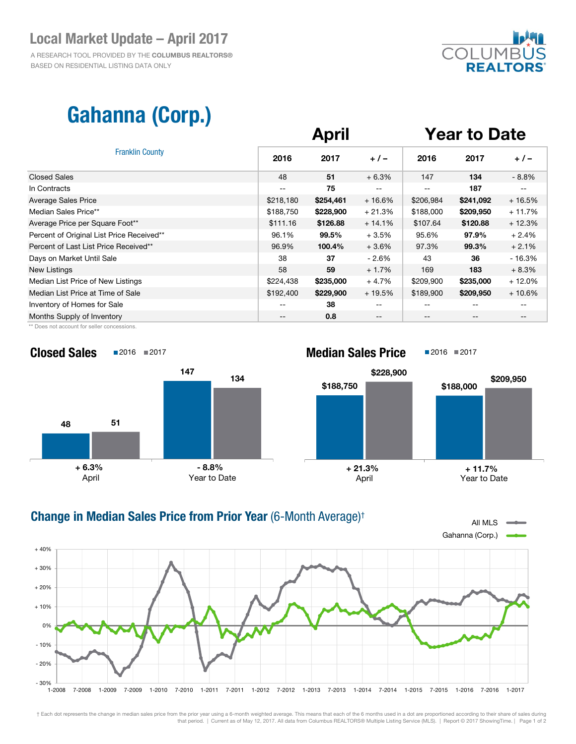### Local Market Update – April 2017

 A RESEARCH TOOL PROVIDED BY THE COLUMBUS REALTORS® BASED ON RESIDENTIAL LISTING DATA ONLY



# Gahanna (Corp.)

| <b>Franklin County</b>                    | <b>April</b> |           |          | <b>Year to Date</b> |           |          |
|-------------------------------------------|--------------|-----------|----------|---------------------|-----------|----------|
|                                           | 2016         | 2017      | $+/-$    | 2016                | 2017      | $+/-$    |
| <b>Closed Sales</b>                       | 48           | 51        | $+6.3%$  | 147                 | 134       | $-8.8%$  |
| In Contracts                              | --           | 75        |          | --                  | 187       |          |
| <b>Average Sales Price</b>                | \$218,180    | \$254,461 | $+16.6%$ | \$206,984           | \$241,092 | $+16.5%$ |
| Median Sales Price**                      | \$188,750    | \$228,900 | $+21.3%$ | \$188,000           | \$209,950 | $+11.7%$ |
| Average Price per Square Foot**           | \$111.16     | \$126.88  | $+14.1%$ | \$107.64            | \$120.88  | $+12.3%$ |
| Percent of Original List Price Received** | 96.1%        | 99.5%     | $+3.5%$  | 95.6%               | 97.9%     | $+2.4%$  |
| Percent of Last List Price Received**     | 96.9%        | 100.4%    | $+3.6%$  | 97.3%               | 99.3%     | $+2.1%$  |
| Days on Market Until Sale                 | 38           | 37        | - 2.6%   | 43                  | 36        | $-16.3%$ |
| New Listings                              | 58           | 59        | $+1.7%$  | 169                 | 183       | $+8.3%$  |
| Median List Price of New Listings         | \$224,438    | \$235,000 | $+4.7%$  | \$209,900           | \$235,000 | $+12.0%$ |
| Median List Price at Time of Sale         | \$192,400    | \$229,900 | $+19.5%$ | \$189,900           | \$209,950 | $+10.6%$ |
| Inventory of Homes for Sale               | --           | 38        | --       |                     |           |          |
| Months Supply of Inventory                | --           | 0.8       | --       | --                  | --        | --       |

\*\* Does not account for seller concessions.





#### All MLS  $\equiv$ Gahanna (Corp.)  $-30\%$   $+2008$ - 20% - 10% 0% + 10% + 20% + 30% + 40% 1-2008 7-2008 1-2009 7-2009 1-2010 7-2010 1-2011 7-2011 1-2012 7-2012 1-2013 7-2013 1-2014 7-2014 1-2015 7-2015 1-2016 7-2016 1-2017 Change in Median Sales Price from Prior Year (6-Month Average)†

† Each dot represents the change in median sales price from the prior year using a 6-month weighted average. This means that each of the 6 months used in a dot are proportioned according to their share of sales during that period. | Current as of May 12, 2017. All data from Columbus REALTORS® Multiple Listing Service (MLS). | Report © 2017 ShowingTime. | Page 1 of 2